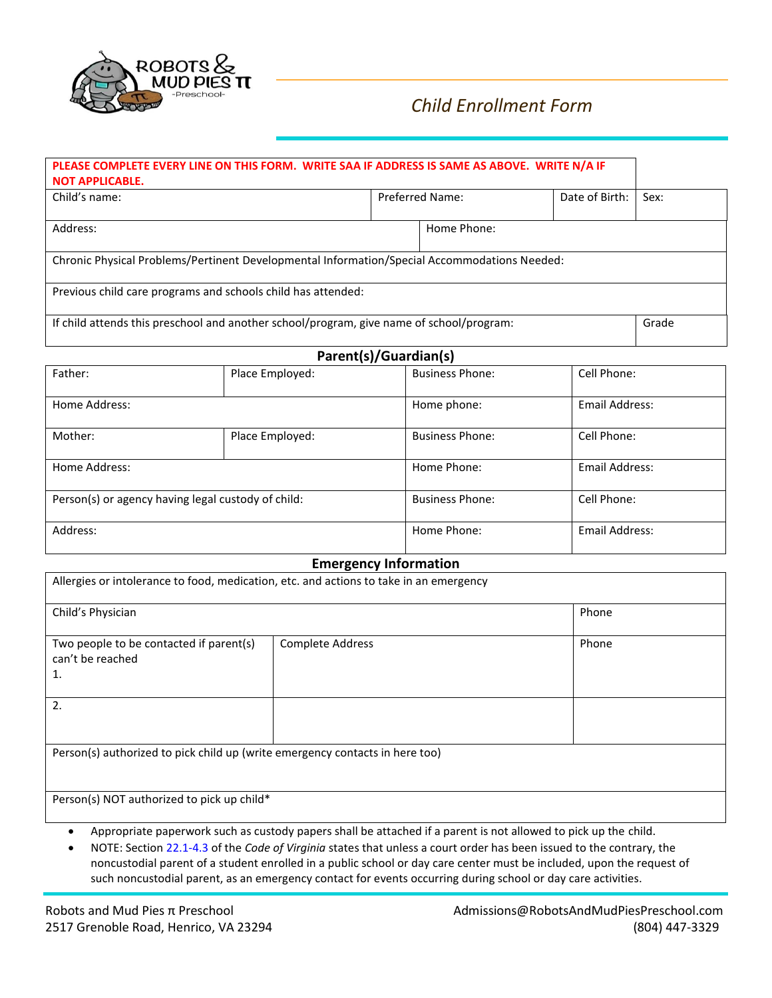

# *Child Enrollment Form*

| PLEASE COMPLETE EVERY LINE ON THIS FORM. WRITE SAA IF ADDRESS IS SAME AS ABOVE. WRITE N/A IF<br><b>NOT APPLICABLE.</b> |                        |  |                |      |
|------------------------------------------------------------------------------------------------------------------------|------------------------|--|----------------|------|
| Child's name:                                                                                                          | <b>Preferred Name:</b> |  | Date of Birth: | Sex: |
| Address:                                                                                                               | Home Phone:            |  |                |      |
| Chronic Physical Problems/Pertinent Developmental Information/Special Accommodations Needed:                           |                        |  |                |      |
| Previous child care programs and schools child has attended:                                                           |                        |  |                |      |
| If child attends this preschool and another school/program, give name of school/program:                               |                        |  | Grade          |      |

| Parent(s)/Guardian(s)                              |                 |                        |                |
|----------------------------------------------------|-----------------|------------------------|----------------|
| Father:                                            | Place Employed: | <b>Business Phone:</b> | Cell Phone:    |
| Home Address:                                      |                 | Home phone:            | Email Address: |
| Mother:                                            | Place Employed: | <b>Business Phone:</b> | Cell Phone:    |
| Home Address:                                      |                 | Home Phone:            | Email Address: |
| Person(s) or agency having legal custody of child: |                 | <b>Business Phone:</b> | Cell Phone:    |
| Address:                                           |                 | Home Phone:            | Email Address: |

#### **Emergency Information**

| Allergies or intolerance to food, medication, etc. and actions to take in an emergency |                  |       |  |
|----------------------------------------------------------------------------------------|------------------|-------|--|
| Child's Physician                                                                      |                  | Phone |  |
| Two people to be contacted if parent(s)<br>can't be reached<br>1.                      | Complete Address | Phone |  |
| 2.                                                                                     |                  |       |  |
| Person(s) authorized to pick child up (write emergency contacts in here too)           |                  |       |  |
| Person(s) NOT authorized to pick up child*                                             |                  |       |  |

- Appropriate paperwork such as custody papers shall be attached if a parent is not allowed to pick up the child.
- NOTE: Section 22.1-4.3 of the *Code of Virginia* states that unless a court order has been issued to the contrary, the noncustodial parent of a student enrolled in a public school or day care center must be included, upon the request of such noncustodial parent, as an emergency contact for events occurring during school or day care activities.